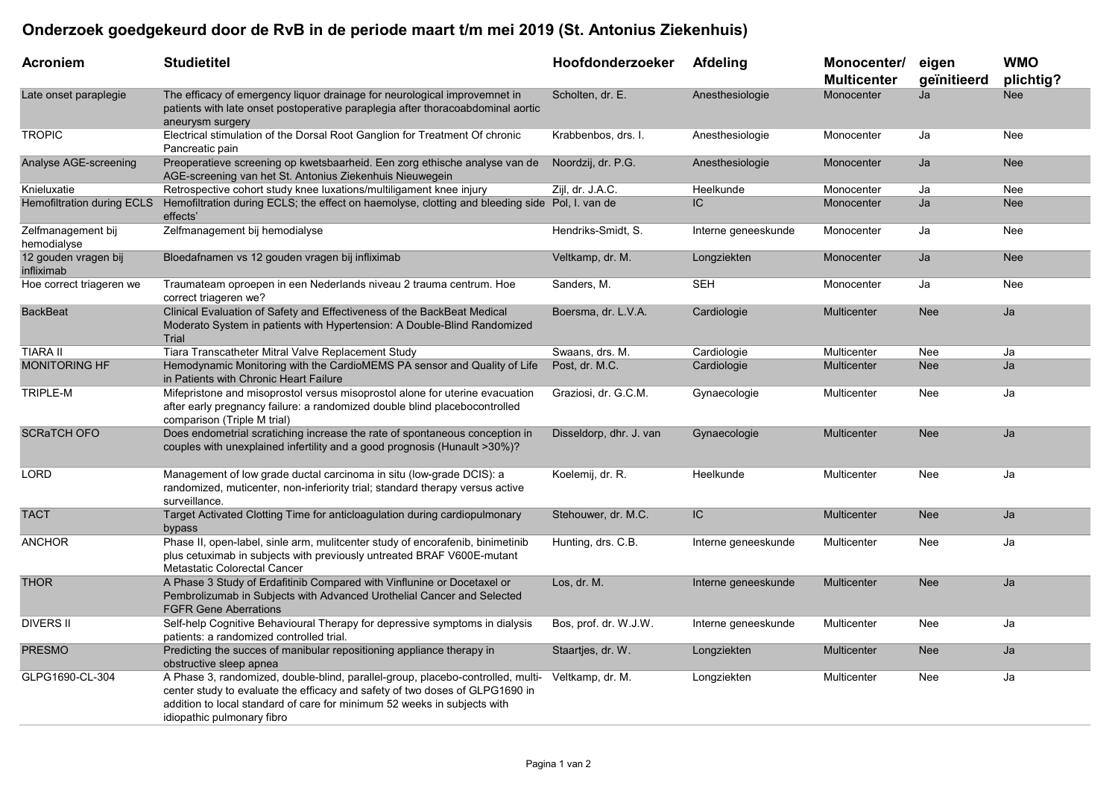## Onderzoek goedgekeurd door de RvB in de periode maart t/m mei 2019 (St. Antonius Ziekenhuis)

| <b>Acroniem</b>                    | <b>Studietitel</b>                                                                                                                                                                                                                                                        | Hoofdonderzoeker        | <b>Afdeling</b>     | Monocenter/<br><b>Multicenter</b> | eigen<br>geïnitieerd | <b>WMO</b><br>plichtig? |
|------------------------------------|---------------------------------------------------------------------------------------------------------------------------------------------------------------------------------------------------------------------------------------------------------------------------|-------------------------|---------------------|-----------------------------------|----------------------|-------------------------|
| Late onset paraplegie              | The efficacy of emergency liquor drainage for neurological improvemnet in<br>patients with late onset postoperative paraplegia after thoracoabdominal aortic<br>aneurysm surgery                                                                                          | Scholten, dr. E.        | Anesthesiologie     | Monocenter                        | Ja                   | <b>Nee</b>              |
| <b>TROPIC</b>                      | Electrical stimulation of the Dorsal Root Ganglion for Treatment Of chronic<br>Pancreatic pain                                                                                                                                                                            | Krabbenbos, drs. I.     | Anesthesiologie     | Monocenter                        | Ja                   | Nee                     |
| Analyse AGE-screening              | Preoperatieve screening op kwetsbaarheid. Een zorg ethische analyse van de<br>AGE-screening van het St. Antonius Ziekenhuis Nieuwegein                                                                                                                                    | Noordzij, dr. P.G.      | Anesthesiologie     | <b>Monocenter</b>                 | Ja                   | <b>Nee</b>              |
| Knieluxatie                        | Retrospective cohort study knee luxations/multiligament knee injury                                                                                                                                                                                                       | Zijl, dr. J.A.C.        | Heelkunde           | Monocenter                        | Ja                   | Nee                     |
| Hemofiltration during ECLS         | Hemofiltration during ECLS; the effect on haemolyse, clotting and bleeding side Pol, I. van de<br>effects'                                                                                                                                                                |                         | IC                  | Monocenter                        | Ja                   | <b>Nee</b>              |
| Zelfmanagement bij<br>hemodialyse  | Zelfmanagement bij hemodialyse                                                                                                                                                                                                                                            | Hendriks-Smidt, S.      | Interne geneeskunde | Monocenter                        | Ja                   | <b>Nee</b>              |
| 12 gouden vragen bij<br>infliximab | Bloedafnamen vs 12 gouden vragen bij infliximab                                                                                                                                                                                                                           | Veltkamp, dr. M.        | Longziekten         | Monocenter                        | Ja                   | <b>Nee</b>              |
| Hoe correct triageren we           | Traumateam oproepen in een Nederlands niveau 2 trauma centrum. Hoe<br>correct triageren we?                                                                                                                                                                               | Sanders, M.             | <b>SEH</b>          | Monocenter                        | Ja                   | <b>Nee</b>              |
| <b>BackBeat</b>                    | Clinical Evaluation of Safety and Effectiveness of the BackBeat Medical<br>Moderato System in patients with Hypertension: A Double-Blind Randomized<br>Trial                                                                                                              | Boersma, dr. L.V.A.     | Cardiologie         | <b>Multicenter</b>                | <b>Nee</b>           | Ja                      |
| <b>TIARA II</b>                    | Tiara Transcatheter Mitral Valve Replacement Study                                                                                                                                                                                                                        | Swaans, drs. M.         | Cardiologie         | Multicenter                       | Nee                  | Ja                      |
| <b>MONITORING HF</b>               | Hemodynamic Monitoring with the CardioMEMS PA sensor and Quality of Life<br>in Patients with Chronic Heart Failure                                                                                                                                                        | Post, dr. M.C.          | Cardiologie         | <b>Multicenter</b>                | <b>Nee</b>           | Ja                      |
| TRIPLE-M                           | Mifepristone and misoprostol versus misoprostol alone for uterine evacuation<br>after early pregnancy failure: a randomized double blind placebocontrolled<br>comparison (Triple M trial)                                                                                 | Graziosi, dr. G.C.M.    | Gynaecologie        | Multicenter                       | Nee                  | Ja                      |
| <b>SCRATCH OFO</b>                 | Does endometrial scratiching increase the rate of spontaneous conception in<br>couples with unexplained infertility and a good prognosis (Hunault > 30%)?                                                                                                                 | Disseldorp, dhr. J. van | Gynaecologie        | <b>Multicenter</b>                | <b>Nee</b>           | Ja                      |
| <b>LORD</b>                        | Management of low grade ductal carcinoma in situ (low-grade DCIS): a<br>randomized, muticenter, non-inferiority trial; standard therapy versus active<br>surveillance.                                                                                                    | Koelemij, dr. R.        | Heelkunde           | Multicenter                       | Nee                  | Ja                      |
| <b>TACT</b>                        | Target Activated Clotting Time for anticloagulation during cardiopulmonary<br>bypass                                                                                                                                                                                      | Stehouwer, dr. M.C.     | IC                  | Multicenter                       | <b>Nee</b>           | Ja                      |
| <b>ANCHOR</b>                      | Phase II, open-label, sinle arm, mulitcenter study of encorafenib, binimetinib<br>plus cetuximab in subjects with previously untreated BRAF V600E-mutant<br>Metastatic Colorectal Cancer                                                                                  | Hunting, drs. C.B.      | Interne geneeskunde | Multicenter                       | Nee                  | Ja                      |
| <b>THOR</b>                        | A Phase 3 Study of Erdafitinib Compared with Vinflunine or Docetaxel or<br>Pembrolizumab in Subjects with Advanced Urothelial Cancer and Selected<br><b>FGFR Gene Aberrations</b>                                                                                         | Los, dr. M.             | Interne geneeskunde | <b>Multicenter</b>                | <b>Nee</b>           | Ja                      |
| <b>DIVERS II</b>                   | Self-help Cognitive Behavioural Therapy for depressive symptoms in dialysis<br>patients: a randomized controlled trial                                                                                                                                                    | Bos, prof. dr. W.J.W.   | Interne geneeskunde | Multicenter                       | Nee                  | Ja                      |
| <b>PRESMO</b>                      | Predicting the succes of manibular repositioning appliance therapy in<br>obstructive sleep apnea                                                                                                                                                                          | Staartjes, dr. W.       | Longziekten         | <b>Multicenter</b>                | <b>Nee</b>           | Ja                      |
| GLPG1690-CL-304                    | A Phase 3, randomized, double-blind, parallel-group, placebo-controlled, multi-<br>center study to evaluate the efficacy and safety of two doses of GLPG1690 in<br>addition to local standard of care for minimum 52 weeks in subjects with<br>idiopathic pulmonary fibro | Veltkamp, dr. M.        | Longziekten         | Multicenter                       | Nee                  | Ja                      |